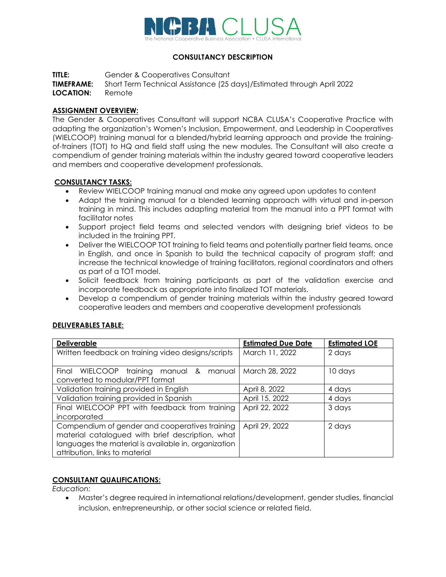

# **CONSULTANCY DESCRIPTION**

**TITLE:** Gender & Cooperatives Consultant

**TIMEFRAME:** Short Term Technical Assistance (25 days)/Estimated through April 2022 **LOCATION:** Remote

### **ASSIGNMENT OVERVIEW:**

The Gender & Cooperatives Consultant will support NCBA CLUSA's Cooperative Practice with adapting the organization's Women's Inclusion, Empowerment, and Leadership in Cooperatives (WIELCOOP) training manual for a blended/hybrid learning approach and provide the trainingof-trainers (TOT) to HQ and field staff using the new modules. The Consultant will also create a compendium of gender training materials within the industry geared toward cooperative leaders and members and cooperative development professionals.

## **CONSULTANCY TASKS:**

- Review WIELCOOP training manual and make any agreed upon updates to content
- Adapt the training manual for a blended learning approach with virtual and in-person training in mind. This includes adapting material from the manual into a PPT format with facilitator notes
- Support project field teams and selected vendors with designing brief videos to be included in the training PPT.
- Deliver the WIELCOOP TOT training to field teams and potentially partner field teams, once in English, and once in Spanish to build the technical capacity of program staff; and increase the technical knowledge of training facilitators, regional coordinators and others as part of a TOT model.
- Solicit feedback from training participants as part of the validation exercise and incorporate feedback as appropriate into finalized TOT materials.
- Develop a compendium of gender training materials within the industry geared toward cooperative leaders and members and cooperative development professionals

## **DELIVERABLES TABLE:**

| <b>Deliverable</b>                                   | <b>Estimated Due Date</b> | <b>Estimated LOE</b> |
|------------------------------------------------------|---------------------------|----------------------|
| Written feedback on training video designs/scripts   | March 11, 2022            | 2 days               |
|                                                      |                           |                      |
| Final<br>WIELCOOP training manual &<br>manual l      | March 28, 2022            | 10 days              |
| converted to modular/PPT format                      |                           |                      |
| Validation training provided in English              | April 8, 2022             | 4 days               |
| Validation training provided in Spanish              | April 15, 2022            | 4 days               |
| Final WIELCOOP PPT with feedback from training       | April 22, 2022            | 3 days               |
| incorporated                                         |                           |                      |
| Compendium of gender and cooperatives training       | April 29, 2022            | 2 days               |
| material catalogued with brief description, what     |                           |                      |
| languages the material is available in, organization |                           |                      |
| attribution, links to material                       |                           |                      |

#### **CONSULTANT QUALIFICATIONS:**

*Education:*

• Master's degree required in international relations/development, gender studies, financial inclusion, entrepreneurship, or other social science or related field.